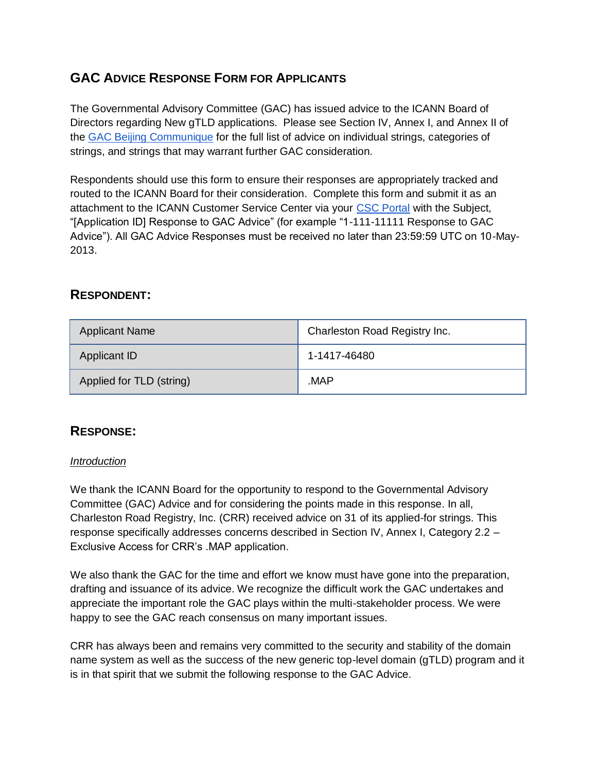# **GAC ADVICE RESPONSE FORM FOR APPLICANTS**

The Governmental Advisory Committee (GAC) has issued advice to the ICANN Board of Directors regarding New gTLD applications. Please see Section IV, Annex I, and Annex II of th[e](http://www.icann.org/en/news/correspondence/gac-to-board-18apr13-en.pdf) [GAC Beijing Communique](http://www.icann.org/en/news/correspondence/gac-to-board-18apr13-en.pdf) for the full list of advice on individual strings, categories of strings, and strings that may warrant further GAC consideration.

Respondents should use this form to ensure their responses are appropriately tracked and routed to the ICANN Board for their consideration. Complete this form and submit it as an attachment to the ICANN Customer Service Center via your [CSC Portal](https://myicann.secure.force.com/) with the Subject, "[Application ID] Response to GAC Advice" (for example "1-111-11111 Response to GAC Advice"). All GAC Advice Responses must be received no later than 23:59:59 UTC on 10-May-2013.

## **RESPONDENT:**

| <b>Applicant Name</b>    | Charleston Road Registry Inc. |
|--------------------------|-------------------------------|
| Applicant ID             | 1-1417-46480                  |
| Applied for TLD (string) | MAP.                          |

### **RESPONSE:**

#### *Introduction*

We thank the ICANN Board for the opportunity to respond to the Governmental Advisory Committee (GAC) Advice and for considering the points made in this response. In all, Charleston Road Registry, Inc. (CRR) received advice on 31 of its applied-for strings. This response specifically addresses concerns described in Section IV, Annex I, Category 2.2 – Exclusive Access for CRR's .MAP application.

We also thank the GAC for the time and effort we know must have gone into the preparation, drafting and issuance of its advice. We recognize the difficult work the GAC undertakes and appreciate the important role the GAC plays within the multi-stakeholder process. We were happy to see the GAC reach consensus on many important issues.

CRR has always been and remains very committed to the security and stability of the domain name system as well as the success of the new generic top-level domain (gTLD) program and it is in that spirit that we submit the following response to the GAC Advice.